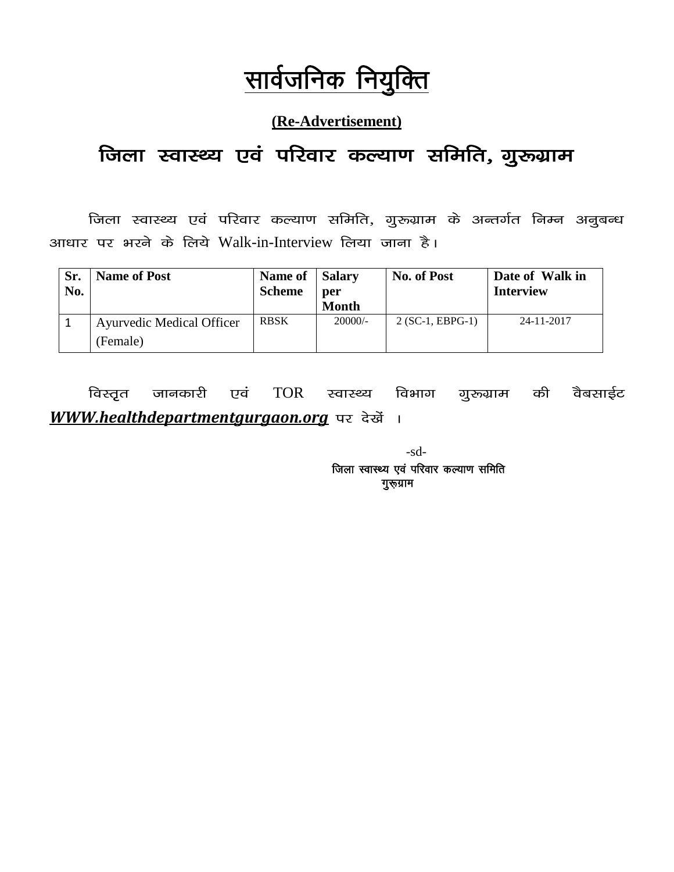## सार्वजनिक नियुक्ति

#### **(Re-Advertisement)**

## जिला स्वास्थ्य एवं परिवार कल्याण समिति, गुरुग्राम

जिला स्वास्थ्य एवं परिवार कल्याण समिति, गुरुग्राम के अन्तर्गत निम्न अनुबन्ध आधार पर भरने के लिये Walk-in-Interview लिया जाना है।

| Sr.<br>No. | <b>Name of Post</b>              | Name of Salary<br><b>Scheme</b> | per<br><b>Month</b> | <b>No. of Post</b> | Date of Walk in<br><b>Interview</b> |
|------------|----------------------------------|---------------------------------|---------------------|--------------------|-------------------------------------|
|            | <b>Ayurvedic Medical Officer</b> | <b>RBSK</b>                     | $20000/-$           | $2 (SC-1, EBPG-1)$ | 24-11-2017                          |
|            | (Female)                         |                                 |                     |                    |                                     |

विस्तृत जानकारी एवं TOR स्वास्थ्य विभाग गुरुग्राम की वैबसाईट WWW.healthdepartmentgurgaon.org पर देखें ।

> -sd- जिला स्वास्थ्य एवं परिवार कल्याण समिति गुरूग्राम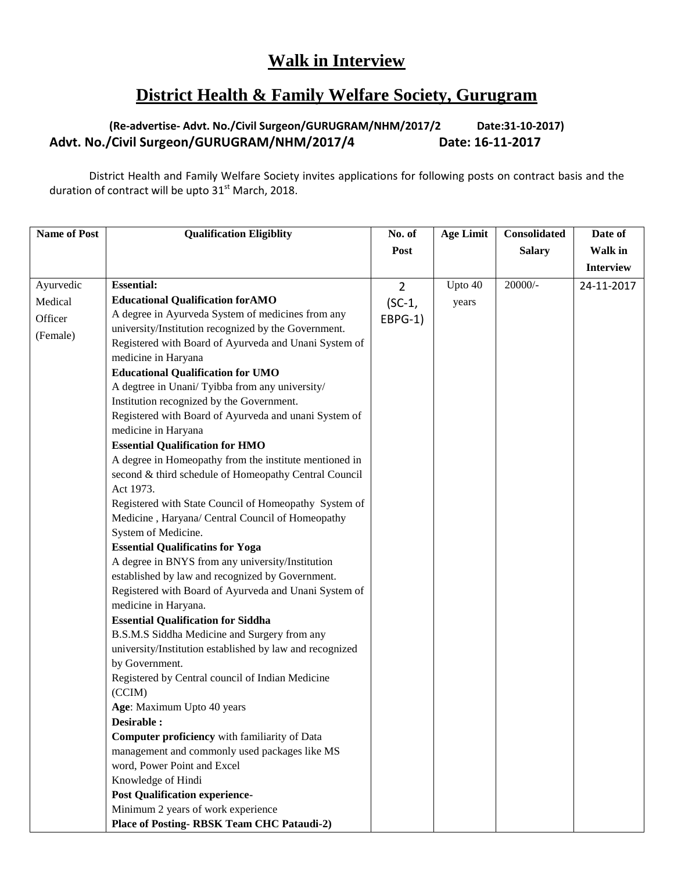### **Walk in Interview**

#### **District Health & Family Welfare Society, Gurugram**

#### **(Re-advertise- Advt. No./Civil Surgeon/GURUGRAM/NHM/2017/2 Date:31-10-2017) Advt. No./Civil Surgeon/GURUGRAM/NHM/2017/4 Date: 16-11-2017**

District Health and Family Welfare Society invites applications for following posts on contract basis and the duration of contract will be upto  $31<sup>st</sup>$  March, 2018.

| <b>Name of Post</b> | <b>Qualification Eligiblity</b>                          | No. of         | <b>Age Limit</b> | Consolidated  | Date of          |
|---------------------|----------------------------------------------------------|----------------|------------------|---------------|------------------|
|                     |                                                          | Post           |                  | <b>Salary</b> | Walk in          |
|                     |                                                          |                |                  |               | <b>Interview</b> |
| Ayurvedic           | <b>Essential:</b>                                        | $\overline{2}$ | Upto 40          | $20000/-$     | 24-11-2017       |
| Medical             | <b>Educational Qualification for AMO</b>                 | $(SC-1,$       | years            |               |                  |
| Officer             | A degree in Ayurveda System of medicines from any        | EBPG-1)        |                  |               |                  |
|                     | university/Institution recognized by the Government.     |                |                  |               |                  |
| (Female)            | Registered with Board of Ayurveda and Unani System of    |                |                  |               |                  |
|                     | medicine in Haryana                                      |                |                  |               |                  |
|                     | <b>Educational Qualification for UMO</b>                 |                |                  |               |                  |
|                     | A degtree in Unani/Tyibba from any university/           |                |                  |               |                  |
|                     | Institution recognized by the Government.                |                |                  |               |                  |
|                     | Registered with Board of Ayurveda and unani System of    |                |                  |               |                  |
|                     | medicine in Haryana                                      |                |                  |               |                  |
|                     | <b>Essential Qualification for HMO</b>                   |                |                  |               |                  |
|                     | A degree in Homeopathy from the institute mentioned in   |                |                  |               |                  |
|                     | second & third schedule of Homeopathy Central Council    |                |                  |               |                  |
|                     | Act 1973.                                                |                |                  |               |                  |
|                     | Registered with State Council of Homeopathy System of    |                |                  |               |                  |
|                     | Medicine, Haryana/ Central Council of Homeopathy         |                |                  |               |                  |
|                     | System of Medicine.                                      |                |                  |               |                  |
|                     | <b>Essential Qualificatins for Yoga</b>                  |                |                  |               |                  |
|                     | A degree in BNYS from any university/Institution         |                |                  |               |                  |
|                     | established by law and recognized by Government.         |                |                  |               |                  |
|                     | Registered with Board of Ayurveda and Unani System of    |                |                  |               |                  |
|                     | medicine in Haryana.                                     |                |                  |               |                  |
|                     | <b>Essential Qualification for Siddha</b>                |                |                  |               |                  |
|                     | B.S.M.S Siddha Medicine and Surgery from any             |                |                  |               |                  |
|                     | university/Institution established by law and recognized |                |                  |               |                  |
|                     | by Government.                                           |                |                  |               |                  |
|                     | Registered by Central council of Indian Medicine         |                |                  |               |                  |
|                     | (CCIM)                                                   |                |                  |               |                  |
|                     | Age: Maximum Upto 40 years                               |                |                  |               |                  |
|                     | Desirable :                                              |                |                  |               |                  |
|                     | <b>Computer proficiency</b> with familiarity of Data     |                |                  |               |                  |
|                     | management and commonly used packages like MS            |                |                  |               |                  |
|                     | word, Power Point and Excel                              |                |                  |               |                  |
|                     | Knowledge of Hindi                                       |                |                  |               |                  |
|                     | <b>Post Qualification experience-</b>                    |                |                  |               |                  |
|                     | Minimum 2 years of work experience                       |                |                  |               |                  |
|                     | <b>Place of Posting- RBSK Team CHC Pataudi-2)</b>        |                |                  |               |                  |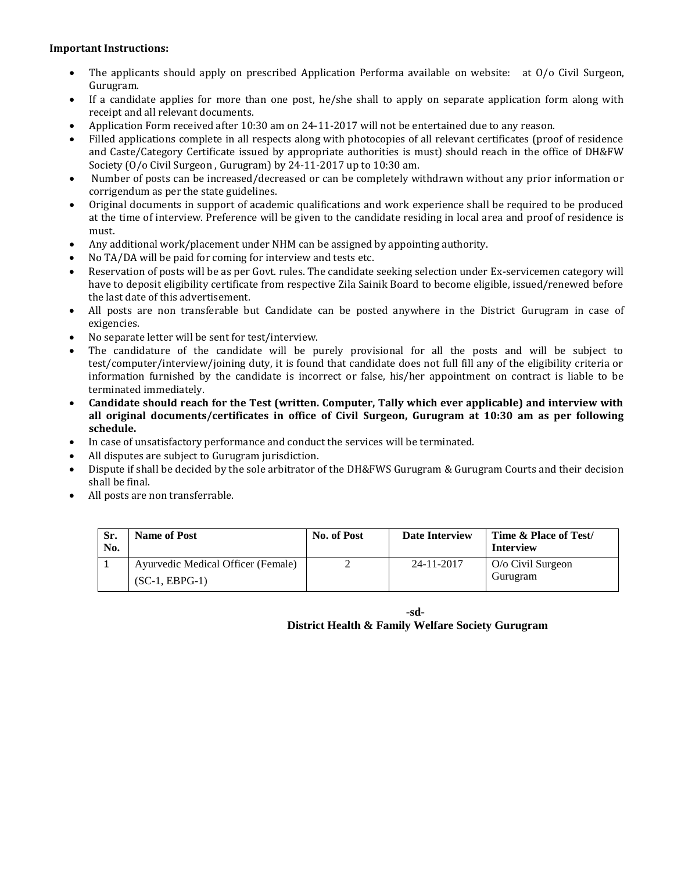#### **Important Instructions:**

- The applicants should apply on prescribed Application Performa available on website: at O/o Civil Surgeon, Gurugram.
- If a candidate applies for more than one post, he/she shall to apply on separate application form along with receipt and all relevant documents.
- Application Form received after 10:30 am on 24-11-2017 will not be entertained due to any reason.
- Filled applications complete in all respects along with photocopies of all relevant certificates (proof of residence and Caste/Category Certificate issued by appropriate authorities is must) should reach in the office of DH&FW Society (O/o Civil Surgeon , Gurugram) by 24-11-2017 up to 10:30 am.
- Number of posts can be increased/decreased or can be completely withdrawn without any prior information or corrigendum as per the state guidelines.
- Original documents in support of academic qualifications and work experience shall be required to be produced at the time of interview. Preference will be given to the candidate residing in local area and proof of residence is must.
- Any additional work/placement under NHM can be assigned by appointing authority.
- No TA/DA will be paid for coming for interview and tests etc.
- Reservation of posts will be as per Govt. rules. The candidate seeking selection under Ex-servicemen category will have to deposit eligibility certificate from respective Zila Sainik Board to become eligible, issued/renewed before the last date of this advertisement.
- All posts are non transferable but Candidate can be posted anywhere in the District Gurugram in case of exigencies.
- No separate letter will be sent for test/interview.
- The candidature of the candidate will be purely provisional for all the posts and will be subject to test/computer/interview/joining duty, it is found that candidate does not full fill any of the eligibility criteria or information furnished by the candidate is incorrect or false, his/her appointment on contract is liable to be terminated immediately.
- **Candidate should reach for the Test (written. Computer, Tally which ever applicable) and interview with all original documents/certificates in office of Civil Surgeon, Gurugram at 10:30 am as per following schedule.**
- In case of unsatisfactory performance and conduct the services will be terminated.
- All disputes are subject to Gurugram jurisdiction.
- Dispute if shall be decided by the sole arbitrator of the DH&FWS Gurugram & Gurugram Courts and their decision shall be final.
- All posts are non transferrable.

| Sr.<br>No. | <b>Name of Post</b>                | No. of Post | <b>Date Interview</b> | Time & Place of Test/<br><b>Interview</b> |
|------------|------------------------------------|-------------|-----------------------|-------------------------------------------|
|            | Ayurvedic Medical Officer (Female) |             | 24-11-2017            | $O/O$ Civil Surgeon                       |
|            | $(SC-1, EBPG-1)$                   |             |                       | Gurugram                                  |

**-sd-District Health & Family Welfare Society Gurugram**